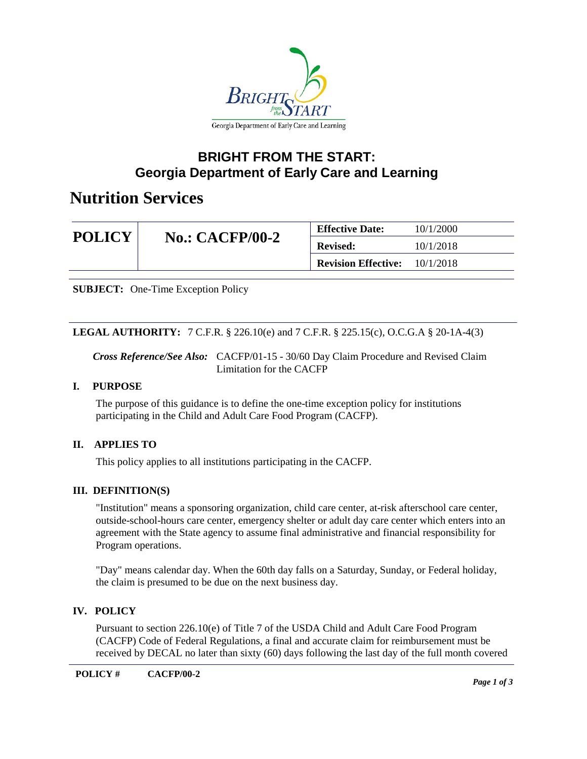

### **BRIGHT FROM THE START: Georgia Department of Early Care and Learning**

# **Nutrition Services**

| <b>POLICY</b> | $No.: CACFP/00-2$ | <b>Effective Date:</b>               | 10/1/2000 |
|---------------|-------------------|--------------------------------------|-----------|
|               |                   | <b>Revised:</b>                      | 10/1/2018 |
|               |                   | <b>Revision Effective:</b> 10/1/2018 |           |

**SUBJECT:** One-Time Exception Policy

**LEGAL AUTHORITY:** 7 C.F.R. § 226.10(e) and 7 C.F.R. § 225.15(c), O.C.G.A § 20-1A-4(3)

*Cross Reference/See Also:* CACFP/01-15 - 30/60 Day Claim Procedure and Revised Claim Limitation for the CACFP

#### **I. PURPOSE**

The purpose of this guidance is to define the one-time exception policy for institutions participating in the Child and Adult Care Food Program (CACFP).

### **II. APPLIES TO**

This policy applies to all institutions participating in the CACFP.

### **III. DEFINITION(S)**

"Institution" means a sponsoring organization, child care center, at-risk afterschool care center, outside-school-hours care center, emergency shelter or adult day care center which enters into an agreement with the State agency to assume final administrative and financial responsibility for Program operations.

"Day" means calendar day. When the 60th day falls on a Saturday, Sunday, or Federal holiday, the claim is presumed to be due on the next business day.

### **IV. POLICY**

Pursuant to section 226.10(e) of Title 7 of the USDA Child and Adult Care Food Program (CACFP) Code of Federal Regulations, a final and accurate claim for reimbursement must be received by DECAL no later than sixty (60) days following the last day of the full month covered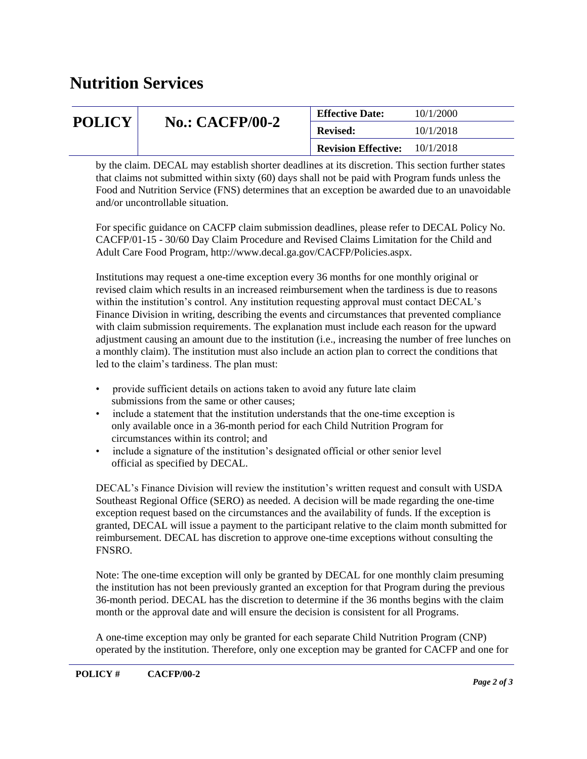# **Nutrition Services**

| <b>POLICY</b> | <b>No.: CACFP/00-2</b> | <b>Effective Date:</b>     | 10/1/2000 |
|---------------|------------------------|----------------------------|-----------|
|               |                        | <b>Revised:</b>            | 10/1/2018 |
|               |                        | <b>Revision Effective:</b> | 10/1/2018 |

by the claim. DECAL may establish shorter deadlines at its discretion. This section further states that claims not submitted within sixty (60) days shall not be paid with Program funds unless the Food and Nutrition Service (FNS) determines that an exception be awarded due to an unavoidable and/or uncontrollable situation.

For specific guidance on CACFP claim submission deadlines, please refer to DECAL Policy No. CACFP/01-15 - 30/60 Day Claim Procedure and Revised Claims Limitation for the Child and Adult Care Food Program, http://www.decal.ga.gov/CACFP/Policies.aspx.

Institutions may request a one-time exception every 36 months for one monthly original or revised claim which results in an increased reimbursement when the tardiness is due to reasons within the institution's control. Any institution requesting approval must contact DECAL's Finance Division in writing, describing the events and circumstances that prevented compliance with claim submission requirements. The explanation must include each reason for the upward adjustment causing an amount due to the institution (i.e., increasing the number of free lunches on a monthly claim). The institution must also include an action plan to correct the conditions that led to the claim's tardiness. The plan must:

- provide sufficient details on actions taken to avoid any future late claim submissions from the same or other causes;
- include a statement that the institution understands that the one-time exception is only available once in a 36-month period for each Child Nutrition Program for circumstances within its control; and
- include a signature of the institution's designated official or other senior level official as specified by DECAL.

DECAL's Finance Division will review the institution's written request and consult with USDA Southeast Regional Office (SERO) as needed. A decision will be made regarding the one-time exception request based on the circumstances and the availability of funds. If the exception is granted, DECAL will issue a payment to the participant relative to the claim month submitted for reimbursement. DECAL has discretion to approve one-time exceptions without consulting the FNSRO.

Note: The one-time exception will only be granted by DECAL for one monthly claim presuming the institution has not been previously granted an exception for that Program during the previous 36-month period. DECAL has the discretion to determine if the 36 months begins with the claim month or the approval date and will ensure the decision is consistent for all Programs.

A one-time exception may only be granted for each separate Child Nutrition Program (CNP) operated by the institution. Therefore, only one exception may be granted for CACFP and one for